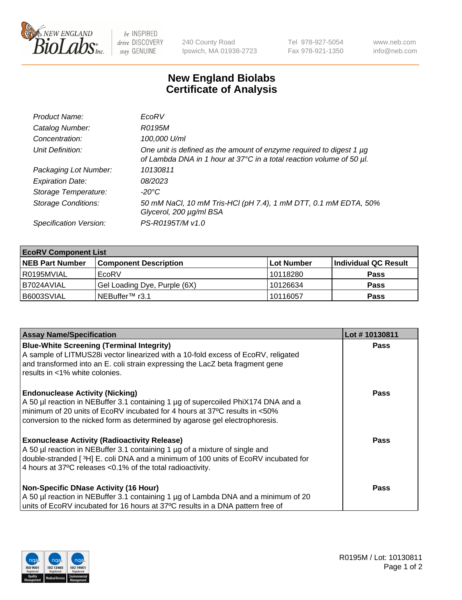

 $be$  INSPIRED drive DISCOVERY stay GENUINE

240 County Road Ipswich, MA 01938-2723 Tel 978-927-5054 Fax 978-921-1350 www.neb.com info@neb.com

## **New England Biolabs Certificate of Analysis**

| Product Name:              | EcoRV                                                                                                                                       |
|----------------------------|---------------------------------------------------------------------------------------------------------------------------------------------|
| Catalog Number:            | R0195M                                                                                                                                      |
| Concentration:             | 100,000 U/ml                                                                                                                                |
| Unit Definition:           | One unit is defined as the amount of enzyme required to digest 1 µg<br>of Lambda DNA in 1 hour at 37°C in a total reaction volume of 50 µl. |
| Packaging Lot Number:      | 10130811                                                                                                                                    |
| <b>Expiration Date:</b>    | 08/2023                                                                                                                                     |
| Storage Temperature:       | -20°C                                                                                                                                       |
| <b>Storage Conditions:</b> | 50 mM NaCl, 10 mM Tris-HCl (pH 7.4), 1 mM DTT, 0.1 mM EDTA, 50%<br>Glycerol, 200 µg/ml BSA                                                  |
| Specification Version:     | PS-R0195T/M v1.0                                                                                                                            |

| <b>EcoRV Component List</b> |                              |            |                      |  |  |
|-----------------------------|------------------------------|------------|----------------------|--|--|
| <b>NEB Part Number</b>      | <b>Component Description</b> | Lot Number | Individual QC Result |  |  |
| l R0195MVIAL                | EcoRV                        | 10118280   | <b>Pass</b>          |  |  |
| I B7024AVIAL                | Gel Loading Dye, Purple (6X) | 10126634   | <b>Pass</b>          |  |  |
| B6003SVIAL                  | INEBuffer™ r3.1              | 10116057   | <b>Pass</b>          |  |  |

| <b>Assay Name/Specification</b>                                                                                                                                                                                                                                                                      | Lot #10130811 |
|------------------------------------------------------------------------------------------------------------------------------------------------------------------------------------------------------------------------------------------------------------------------------------------------------|---------------|
| <b>Blue-White Screening (Terminal Integrity)</b><br>A sample of LITMUS28i vector linearized with a 10-fold excess of EcoRV, religated<br>and transformed into an E. coli strain expressing the LacZ beta fragment gene<br>results in <1% white colonies.                                             | <b>Pass</b>   |
| <b>Endonuclease Activity (Nicking)</b><br>A 50 µl reaction in NEBuffer 3.1 containing 1 µg of supercoiled PhiX174 DNA and a<br>minimum of 20 units of EcoRV incubated for 4 hours at 37°C results in <50%<br>conversion to the nicked form as determined by agarose gel electrophoresis.             | <b>Pass</b>   |
| <b>Exonuclease Activity (Radioactivity Release)</b><br>A 50 µl reaction in NEBuffer 3.1 containing 1 µg of a mixture of single and<br>double-stranded [ <sup>3</sup> H] E. coli DNA and a minimum of 100 units of EcoRV incubated for<br>4 hours at 37°C releases < 0.1% of the total radioactivity. | Pass          |
| <b>Non-Specific DNase Activity (16 Hour)</b><br>A 50 µl reaction in NEBuffer 3.1 containing 1 µg of Lambda DNA and a minimum of 20<br>units of EcoRV incubated for 16 hours at 37°C results in a DNA pattern free of                                                                                 | <b>Pass</b>   |